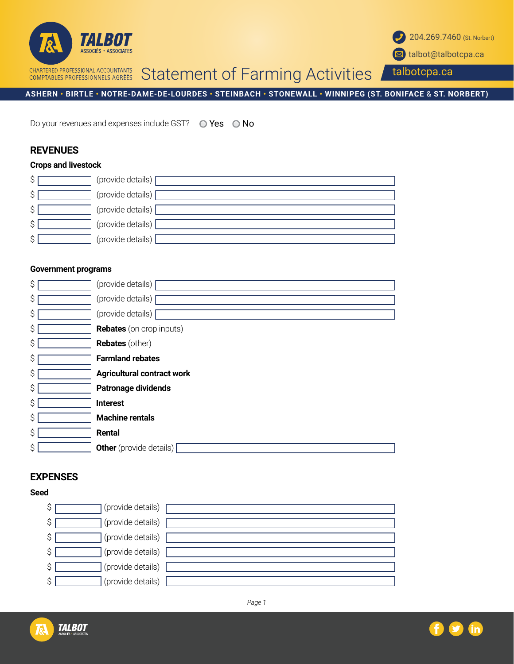



talbotcpa.ca

**ASHERN • BIRTLE • NOTRE-DAME-DE-LOURDES • STEINBACH • STONEWALL • WINNIPEG (ST. BONIFACE** & **ST. NORBERT)**

Do your revenues and expenses include GST?  $\bigcirc$  Yes  $\bigcirc$  No

# **REVENUES**

#### **Crops and livestock**

| \$ | (provide details)             |
|----|-------------------------------|
| ر  | (provide details) $\sqrt{\ }$ |
|    | (provide details) [           |
| S  | (provide details)             |
| ⌒  | (provide details)             |

#### **Government programs**

| \$<br>(provide details)                 |
|-----------------------------------------|
| \$<br>(provide details)                 |
| \$<br>(provide details)                 |
| \$<br><b>Rebates</b> (on crop inputs)   |
| \$<br><b>Rebates</b> (other)            |
| \$<br><b>Farmland rebates</b>           |
| \$<br><b>Agricultural contract work</b> |
| \$<br><b>Patronage dividends</b>        |
| \$<br><b>Interest</b>                   |
| \$<br><b>Machine rentals</b>            |
| \$<br>Rental                            |
| \$<br><b>Other</b> (provide details)    |

## **EXPENSES**

#### **Seed**

| (provide details)<br>Ÿ |  |
|------------------------|--|
| (provide details)<br>پ |  |
| (provide details)      |  |
| (provide details)      |  |
| (provide details)<br>⌒ |  |
| (provide details)<br>⌒ |  |



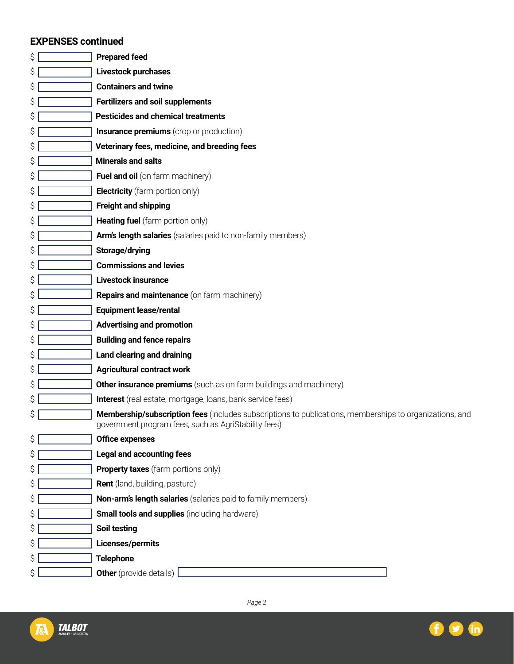# **EXPENSES continued**

| \$ | <b>Prepared feed</b>                                                                                                                                            |
|----|-----------------------------------------------------------------------------------------------------------------------------------------------------------------|
| \$ | Livestock purchases                                                                                                                                             |
| \$ | <b>Containers and twine</b>                                                                                                                                     |
| \$ | <b>Fertilizers and soil supplements</b>                                                                                                                         |
| \$ | <b>Pesticides and chemical treatments</b>                                                                                                                       |
| \$ | <b>Insurance premiums</b> (crop or production)                                                                                                                  |
| \$ | Veterinary fees, medicine, and breeding fees                                                                                                                    |
| \$ | <b>Minerals and salts</b>                                                                                                                                       |
| \$ | Fuel and oil (on farm machinery)                                                                                                                                |
| \$ | <b>Electricity</b> (farm portion only)                                                                                                                          |
| \$ | <b>Freight and shipping</b>                                                                                                                                     |
| \$ | <b>Heating fuel</b> (farm portion only)                                                                                                                         |
| \$ | Arm's length salaries (salaries paid to non-family members)                                                                                                     |
| \$ | Storage/drying                                                                                                                                                  |
| \$ | <b>Commissions and levies</b>                                                                                                                                   |
| \$ | <b>Livestock insurance</b>                                                                                                                                      |
| \$ | <b>Repairs and maintenance</b> (on farm machinery)                                                                                                              |
| \$ | <b>Equipment lease/rental</b>                                                                                                                                   |
| \$ | <b>Advertising and promotion</b>                                                                                                                                |
| \$ | <b>Building and fence repairs</b>                                                                                                                               |
| \$ | Land clearing and draining                                                                                                                                      |
| \$ | <b>Agricultural contract work</b>                                                                                                                               |
| \$ | <b>Other insurance premiums</b> (such as on farm buildings and machinery)                                                                                       |
| \$ | Interest (real estate, mortgage, loans, bank service fees)                                                                                                      |
| \$ | Membership/subscription fees (includes subscriptions to publications, memberships to organizations, and<br>government program fees, such as AgriStability fees) |
| \$ | <b>Office expenses</b>                                                                                                                                          |
| \$ | <b>Legal and accounting fees</b>                                                                                                                                |
| \$ | <b>Property taxes</b> (farm portions only)                                                                                                                      |
| \$ | <b>Rent</b> (land, building, pasture)                                                                                                                           |
| \$ | Non-arm's length salaries (salaries paid to family members)                                                                                                     |
| \$ | <b>Small tools and supplies</b> (including hardware)                                                                                                            |
| \$ | <b>Soil testing</b>                                                                                                                                             |
| \$ | Licenses/permits                                                                                                                                                |
| \$ | <b>Telephone</b>                                                                                                                                                |
| \$ | <b>Other</b> (provide details)                                                                                                                                  |



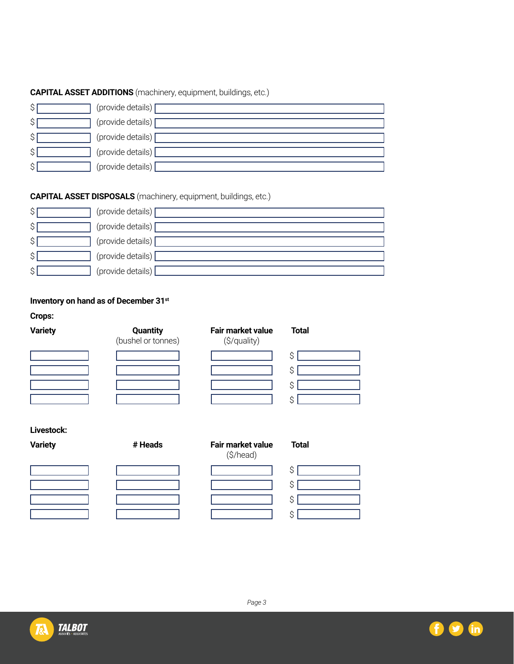# **CAPITAL ASSET ADDITIONS** (machinery, equipment, buildings, etc.)

| ᠬ<br>Ç | (provide details) |
|--------|-------------------|
| \$     | (provide details) |
| \$     | (provide details) |
| ¢<br>Υ | (provide details) |
| \$     | (provide details) |

# **CAPITAL ASSET DISPOSALS** (machinery, equipment, buildings, etc.)

| Ş  | (provide details)             |
|----|-------------------------------|
| P  | (provide details)             |
| S  | (provide details) $\sqrt{\ }$ |
| ت  | (provide details)             |
| v. | (provide details)             |

# **Inventory on hand as of December 31st**

**Crops:**

| <b>Variety</b> | Quantity<br>(bushel or tonnes) | Fair market value<br>(\$/quality) | <b>Total</b> |
|----------------|--------------------------------|-----------------------------------|--------------|
|                |                                |                                   |              |
|                |                                |                                   |              |
|                |                                |                                   |              |
|                |                                |                                   |              |

### **Livestock:**

**Variety** *# Heads* **Fair market value** 

| - - - | - - - - | (\$/head) |  |
|-------|---------|-----------|--|
|       |         |           |  |
|       |         |           |  |
|       |         |           |  |

| \$ |
|----|
| \$ |
| \$ |
| \$ |